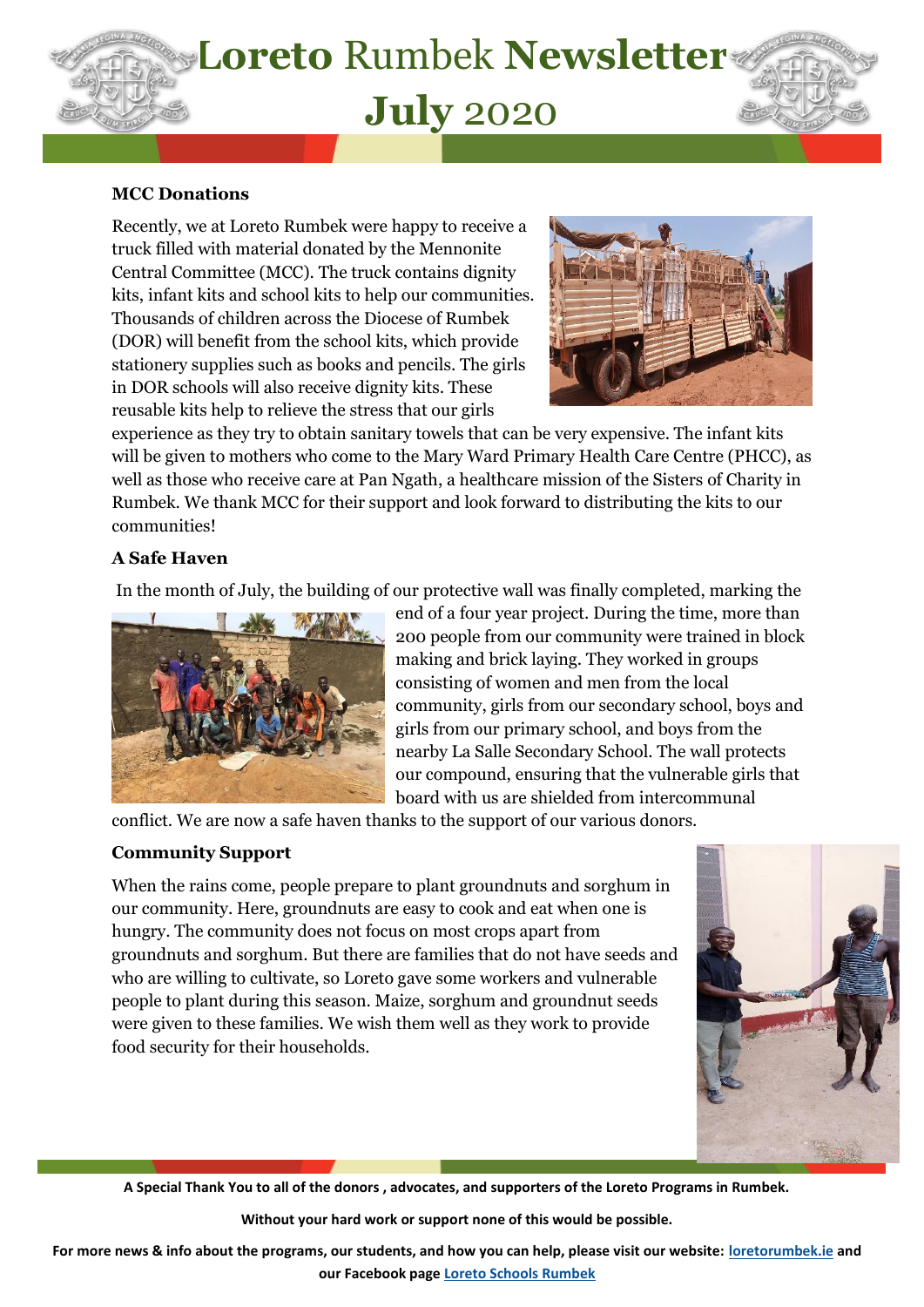

#### **MCC Donations**

Recently, we at Loreto Rumbek were happy to receive a truck filled with material donated by the Mennonite Central Committee (MCC). The truck contains dignity kits, infant kits and school kits to help our communities. Thousands of children across the Diocese of Rumbek (DOR) will benefit from the school kits, which provide stationery supplies such as books and pencils. The girls in DOR schools will also receive dignity kits. These reusable kits help to relieve the stress that our girls



experience as they try to obtain sanitary towels that can be very expensive. The infant kits will be given to mothers who come to the Mary Ward Primary Health Care Centre (PHCC), as well as those who receive care at Pan Ngath, a healthcare mission of the Sisters of Charity in Rumbek. We thank MCC for their support and look forward to distributing the kits to our communities!

### **A Safe Haven**

In the month of July, the building of our protective wall was finally completed, marking the



end of a four year project. During the time, more than 200 people from our community were trained in block making and brick laying. They worked in groups consisting of women and men from the local community, girls from our secondary school, boys and girls from our primary school, and boys from the nearby La Salle Secondary School. The wall protects our compound, ensuring that the vulnerable girls that board with us are shielded from intercommunal

conflict. We are now a safe haven thanks to the support of our various donors.

### **Community Support**

I

When the rains come, people prepare to plant groundnuts and sorghum in our community. Here, groundnuts are easy to cook and eat when one is hungry. The community does not focus on most crops apart from groundnuts and sorghum. But there are families that do not have seeds and who are willing to cultivate, so Loreto gave some workers and vulnerable people to plant during this season. Maize, sorghum and groundnut seeds were given to these families. We wish them well as they work to provide food security for their households.



**A Special Thank You to all of the donors , advocates, and supporters of the Loreto Programs in Rumbek.** 

**Without your hard work or support none of this would be possible.** 

**For more news & info about the programs, our students, and how you can help, please visit our website: [loretorumbek.ie](file:///C:/Users/USER/Downloads/loretorumbek.ie) and our Facebook page [Loreto Schools Rumbek](https://www.facebook.com/loretoschoolsrumbek/)**